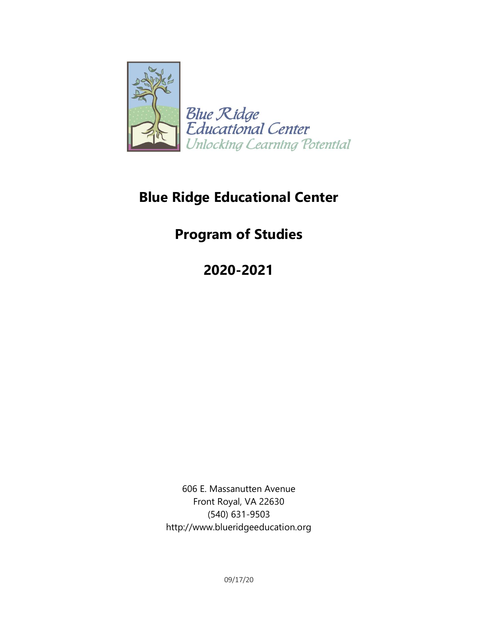

# **Blue Ridge Educational Center**

# **Program of Studies**

**2020-2021**

606 E. Massanutten Avenue Front Royal, VA 22630 (540) 631-9503 http://www.blueridgeeducation.org

09/17/20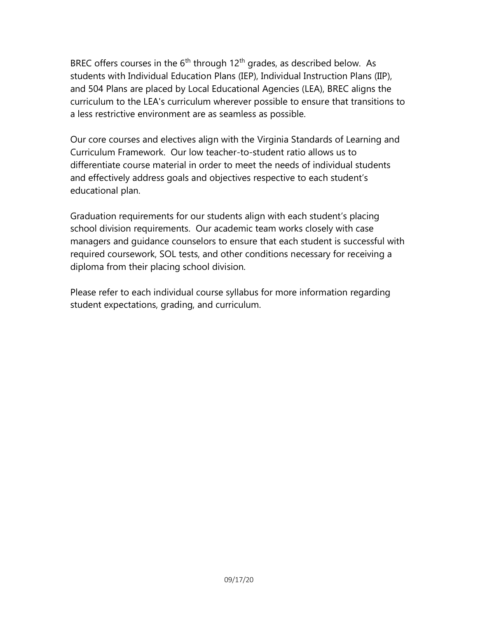BREC offers courses in the  $6<sup>th</sup>$  through 12<sup>th</sup> grades, as described below. As students with Individual Education Plans (IEP), Individual Instruction Plans (IIP), and 504 Plans are placed by Local Educational Agencies (LEA), BREC aligns the curriculum to the LEA's curriculum wherever possible to ensure that transitions to a less restrictive environment are as seamless as possible.

Our core courses and electives align with the Virginia Standards of Learning and Curriculum Framework. Our low teacher-to-student ratio allows us to differentiate course material in order to meet the needs of individual students and effectively address goals and objectives respective to each student's educational plan.

Graduation requirements for our students align with each student's placing school division requirements. Our academic team works closely with case managers and guidance counselors to ensure that each student is successful with required coursework, SOL tests, and other conditions necessary for receiving a diploma from their placing school division.

Please refer to each individual course syllabus for more information regarding student expectations, grading, and curriculum.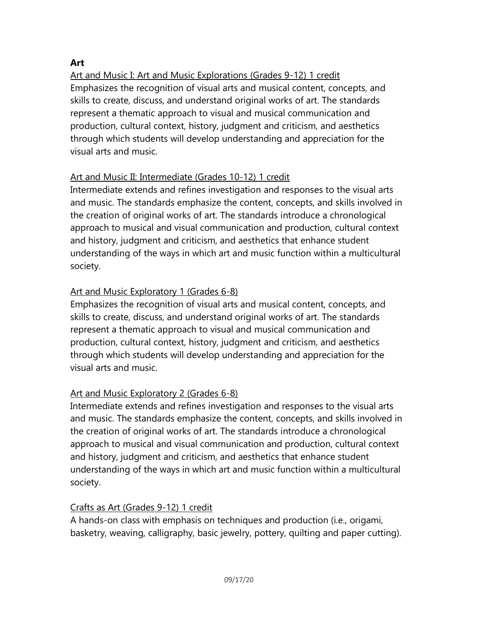# **Art**

Art and Music I: Art and Music Explorations (Grades 9-12) 1 credit Emphasizes the recognition of visual arts and musical content, concepts, and skills to create, discuss, and understand original works of art. The standards represent a thematic approach to visual and musical communication and production, cultural context, history, judgment and criticism, and aesthetics through which students will develop understanding and appreciation for the visual arts and music.

# Art and Music II: Intermediate (Grades 10-12) 1 credit

Intermediate extends and refines investigation and responses to the visual arts and music. The standards emphasize the content, concepts, and skills involved in the creation of original works of art. The standards introduce a chronological approach to musical and visual communication and production, cultural context and history, judgment and criticism, and aesthetics that enhance student understanding of the ways in which art and music function within a multicultural society.

# Art and Music Exploratory 1 (Grades 6-8)

Emphasizes the recognition of visual arts and musical content, concepts, and skills to create, discuss, and understand original works of art. The standards represent a thematic approach to visual and musical communication and production, cultural context, history, judgment and criticism, and aesthetics through which students will develop understanding and appreciation for the visual arts and music.

# Art and Music Exploratory 2 (Grades 6-8)

Intermediate extends and refines investigation and responses to the visual arts and music. The standards emphasize the content, concepts, and skills involved in the creation of original works of art. The standards introduce a chronological approach to musical and visual communication and production, cultural context and history, judgment and criticism, and aesthetics that enhance student understanding of the ways in which art and music function within a multicultural society.

# Crafts as Art (Grades 9-12) 1 credit

A hands-on class with emphasis on techniques and production (i.e., origami, basketry, weaving, calligraphy, basic jewelry, pottery, quilting and paper cutting).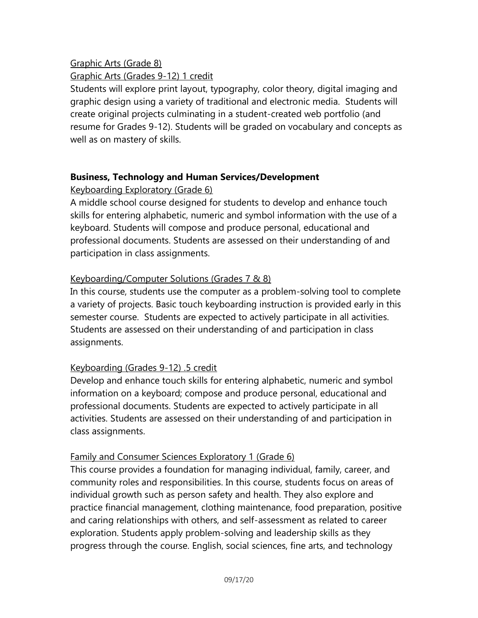# Graphic Arts (Grade 8)

## Graphic Arts (Grades 9-12) 1 credit

Students will explore print layout, typography, color theory, digital imaging and graphic design using a variety of traditional and electronic media. Students will create original projects culminating in a student-created web portfolio (and resume for Grades 9-12). Students will be graded on vocabulary and concepts as well as on mastery of skills.

# **Business, Technology and Human Services/Development**

# Keyboarding Exploratory (Grade 6)

A middle school course designed for students to develop and enhance touch skills for entering alphabetic, numeric and symbol information with the use of a keyboard. Students will compose and produce personal, educational and professional documents. Students are assessed on their understanding of and participation in class assignments.

# Keyboarding/Computer Solutions (Grades 7 & 8)

In this course, students use the computer as a problem-solving tool to complete a variety of projects. Basic touch keyboarding instruction is provided early in this semester course. Students are expected to actively participate in all activities. Students are assessed on their understanding of and participation in class assignments.

# Keyboarding (Grades 9-12) .5 credit

Develop and enhance touch skills for entering alphabetic, numeric and symbol information on a keyboard; compose and produce personal, educational and professional documents. Students are expected to actively participate in all activities. Students are assessed on their understanding of and participation in class assignments.

# Family and Consumer Sciences Exploratory 1 (Grade 6)

This course provides a foundation for managing individual, family, career, and community roles and responsibilities. In this course, students focus on areas of individual growth such as person safety and health. They also explore and practice financial management, clothing maintenance, food preparation, positive and caring relationships with others, and self-assessment as related to career exploration. Students apply problem-solving and leadership skills as they progress through the course. English, social sciences, fine arts, and technology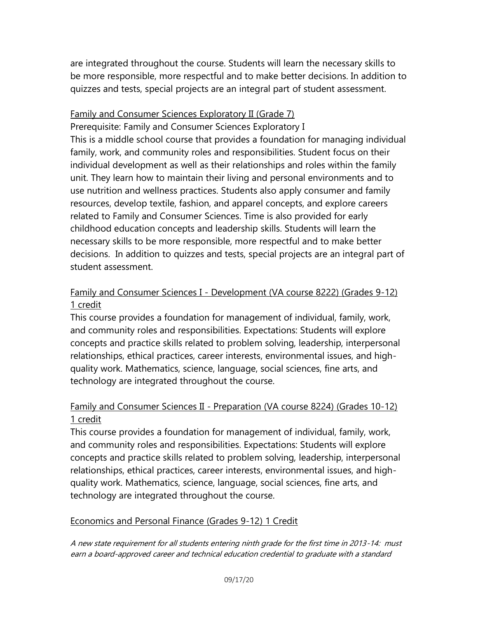are integrated throughout the course. Students will learn the necessary skills to be more responsible, more respectful and to make better decisions. In addition to quizzes and tests, special projects are an integral part of student assessment.

#### Family and Consumer Sciences Exploratory II (Grade 7)

Prerequisite: Family and Consumer Sciences Exploratory I This is a middle school course that provides a foundation for managing individual family, work, and community roles and responsibilities. Student focus on their individual development as well as their relationships and roles within the family unit. They learn how to maintain their living and personal environments and to use nutrition and wellness practices. Students also apply consumer and family resources, develop textile, fashion, and apparel concepts, and explore careers related to Family and Consumer Sciences. Time is also provided for early childhood education concepts and leadership skills. Students will learn the necessary skills to be more responsible, more respectful and to make better decisions. In addition to quizzes and tests, special projects are an integral part of student assessment.

# Family and Consumer Sciences I - Development (VA course 8222) (Grades 9-12) 1 credit

This course provides a foundation for management of individual, family, work, and community roles and responsibilities. Expectations: Students will explore concepts and practice skills related to problem solving, leadership, interpersonal relationships, ethical practices, career interests, environmental issues, and highquality work. Mathematics, science, language, social sciences, fine arts, and technology are integrated throughout the course.

# Family and Consumer Sciences II - Preparation (VA course 8224) (Grades 10-12) 1 credit

This course provides a foundation for management of individual, family, work, and community roles and responsibilities. Expectations: Students will explore concepts and practice skills related to problem solving, leadership, interpersonal relationships, ethical practices, career interests, environmental issues, and highquality work. Mathematics, science, language, social sciences, fine arts, and technology are integrated throughout the course.

#### Economics and Personal Finance (Grades 9-12) 1 Credit

A new state requirement for all students entering ninth grade for the first time in 2013-14: must earn a board-approved career and technical education credential to graduate with a standard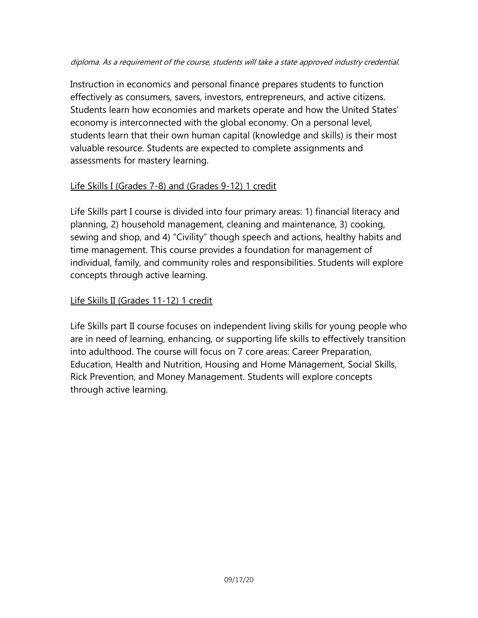#### diploma. As a requirement of the course, students will take a state approved industry credential.

Instruction in economics and personal finance prepares students to function effectively as consumers, savers, investors, entrepreneurs, and active citizens. Students learn how economies and markets operate and how the United States' economy is interconnected with the global economy. On a personal level, students learn that their own human capital (knowledge and skills) is their most valuable resource. Students are expected to complete assignments and assessments for mastery learning.

# Life Skills I (Grades 7-8) and (Grades 9-12) 1 credit

Life Skills part I course is divided into four primary areas: 1) financial literacy and planning, 2) household management, cleaning and maintenance, 3) cooking, sewing and shop, and 4) "Civility" though speech and actions, healthy habits and time management. This course provides a foundation for management of individual, family, and community roles and responsibilities. Students will explore concepts through active learning.

# Life Skills II (Grades 11-12) 1 credit

Life Skills part II course focuses on independent living skills for young people who are in need of learning, enhancing, or supporting life skills to effectively transition into adulthood. The course will focus on 7 core areas: Career Preparation, Education, Health and Nutrition, Housing and Home Management, Social Skills, Rick Prevention, and Money Management. Students will explore concepts through active learning.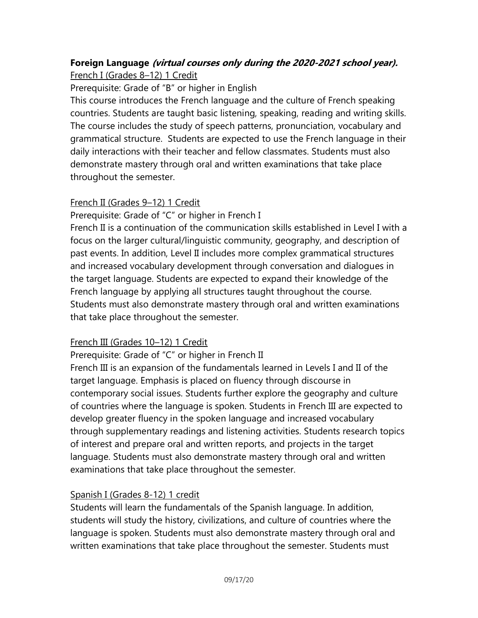#### **Foreign Language (virtual courses only during the 2020-2021 school year).** French I (Grades 8–12) 1 Credit

Prerequisite: Grade of "B" or higher in English

This course introduces the French language and the culture of French speaking countries. Students are taught basic listening, speaking, reading and writing skills. The course includes the study of speech patterns, pronunciation, vocabulary and grammatical structure. Students are expected to use the French language in their daily interactions with their teacher and fellow classmates. Students must also demonstrate mastery through oral and written examinations that take place throughout the semester.

# French II (Grades 9–12) 1 Credit

Prerequisite: Grade of "C" or higher in French I

French II is a continuation of the communication skills established in Level I with a focus on the larger cultural/linguistic community, geography, and description of past events. In addition, Level II includes more complex grammatical structures and increased vocabulary development through conversation and dialogues in the target language. Students are expected to expand their knowledge of the French language by applying all structures taught throughout the course. Students must also demonstrate mastery through oral and written examinations that take place throughout the semester.

# French III (Grades 10–12) 1 Credit

Prerequisite: Grade of "C" or higher in French II

French III is an expansion of the fundamentals learned in Levels I and II of the target language. Emphasis is placed on fluency through discourse in contemporary social issues. Students further explore the geography and culture of countries where the language is spoken. Students in French III are expected to develop greater fluency in the spoken language and increased vocabulary through supplementary readings and listening activities. Students research topics of interest and prepare oral and written reports, and projects in the target language. Students must also demonstrate mastery through oral and written examinations that take place throughout the semester.

# Spanish I (Grades 8-12) 1 credit

Students will learn the fundamentals of the Spanish language. In addition, students will study the history, civilizations, and culture of countries where the language is spoken. Students must also demonstrate mastery through oral and written examinations that take place throughout the semester. Students must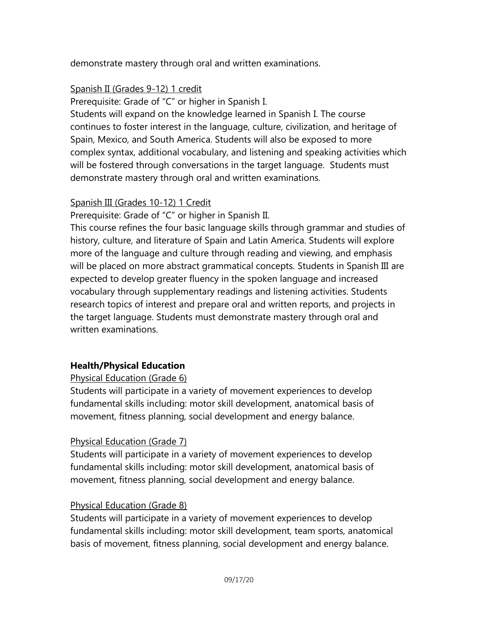demonstrate mastery through oral and written examinations.

# Spanish II (Grades 9-12) 1 credit

Prerequisite: Grade of "C" or higher in Spanish I.

Students will expand on the knowledge learned in Spanish I. The course continues to foster interest in the language, culture, civilization, and heritage of Spain, Mexico, and South America. Students will also be exposed to more complex syntax, additional vocabulary, and listening and speaking activities which will be fostered through conversations in the target language. Students must demonstrate mastery through oral and written examinations.

# Spanish III (Grades 10-12) 1 Credit

Prerequisite: Grade of "C" or higher in Spanish II.

This course refines the four basic language skills through grammar and studies of history, culture, and literature of Spain and Latin America. Students will explore more of the language and culture through reading and viewing, and emphasis will be placed on more abstract grammatical concepts. Students in Spanish III are expected to develop greater fluency in the spoken language and increased vocabulary through supplementary readings and listening activities. Students research topics of interest and prepare oral and written reports, and projects in the target language. Students must demonstrate mastery through oral and written examinations.

# **Health/Physical Education**

# Physical Education (Grade 6)

Students will participate in a variety of movement experiences to develop fundamental skills including: motor skill development, anatomical basis of movement, fitness planning, social development and energy balance.

# Physical Education (Grade 7)

Students will participate in a variety of movement experiences to develop fundamental skills including: motor skill development, anatomical basis of movement, fitness planning, social development and energy balance.

# Physical Education (Grade 8)

Students will participate in a variety of movement experiences to develop fundamental skills including: motor skill development, team sports, anatomical basis of movement, fitness planning, social development and energy balance.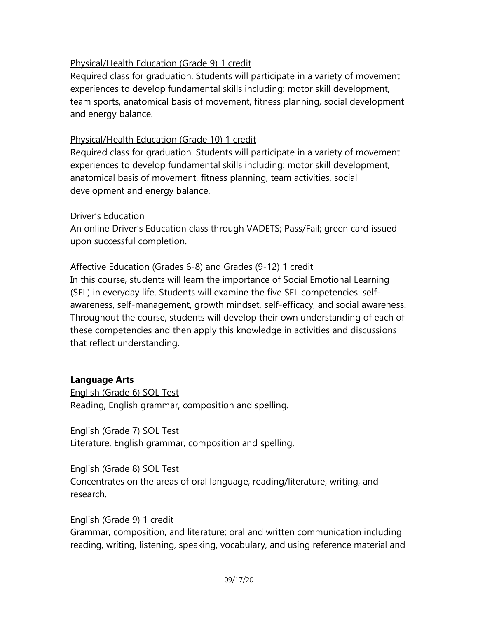## Physical/Health Education (Grade 9) 1 credit

Required class for graduation. Students will participate in a variety of movement experiences to develop fundamental skills including: motor skill development, team sports, anatomical basis of movement, fitness planning, social development and energy balance.

#### Physical/Health Education (Grade 10) 1 credit

Required class for graduation. Students will participate in a variety of movement experiences to develop fundamental skills including: motor skill development, anatomical basis of movement, fitness planning, team activities, social development and energy balance.

## Driver's Education

An online Driver's Education class through VADETS; Pass/Fail; green card issued upon successful completion.

## Affective Education (Grades 6-8) and Grades (9-12) 1 credit

In this course, students will learn the importance of Social Emotional Learning (SEL) in everyday life. Students will examine the five SEL competencies: selfawareness, self-management, growth mindset, self-efficacy, and social awareness. Throughout the course, students will develop their own understanding of each of these competencies and then apply this knowledge in activities and discussions that reflect understanding.

# **Language Arts**

English (Grade 6) SOL Test Reading, English grammar, composition and spelling.

English (Grade 7) SOL Test Literature, English grammar, composition and spelling.

#### English (Grade 8) SOL Test

Concentrates on the areas of oral language, reading/literature, writing, and research.

#### English (Grade 9) 1 credit

Grammar, composition, and literature; oral and written communication including reading, writing, listening, speaking, vocabulary, and using reference material and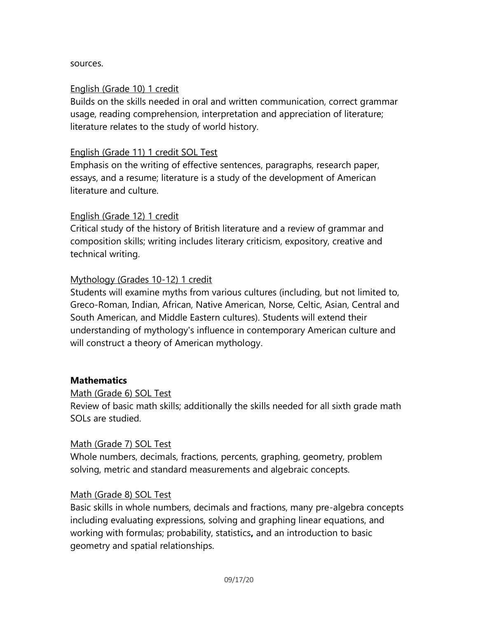#### sources.

#### English (Grade 10) 1 credit

Builds on the skills needed in oral and written communication, correct grammar usage, reading comprehension, interpretation and appreciation of literature; literature relates to the study of world history.

#### English (Grade 11) 1 credit SOL Test

Emphasis on the writing of effective sentences, paragraphs, research paper, essays, and a resume; literature is a study of the development of American literature and culture.

#### English (Grade 12) 1 credit

Critical study of the history of British literature and a review of grammar and composition skills; writing includes literary criticism, expository, creative and technical writing.

#### Mythology (Grades 10-12) 1 credit

Students will examine myths from various cultures (including, but not limited to, Greco-Roman, Indian, African, Native American, Norse, Celtic, Asian, Central and South American, and Middle Eastern cultures). Students will extend their understanding of mythology's influence in contemporary American culture and will construct a theory of American mythology.

#### **Mathematics**

#### Math (Grade 6) SOL Test

Review of basic math skills; additionally the skills needed for all sixth grade math SOLs are studied.

#### Math (Grade 7) SOL Test

Whole numbers, decimals, fractions, percents, graphing, geometry, problem solving, metric and standard measurements and algebraic concepts.

#### Math (Grade 8) SOL Test

Basic skills in whole numbers, decimals and fractions, many pre-algebra concepts including evaluating expressions, solving and graphing linear equations, and working with formulas; probability, statistics**,** and an introduction to basic geometry and spatial relationships.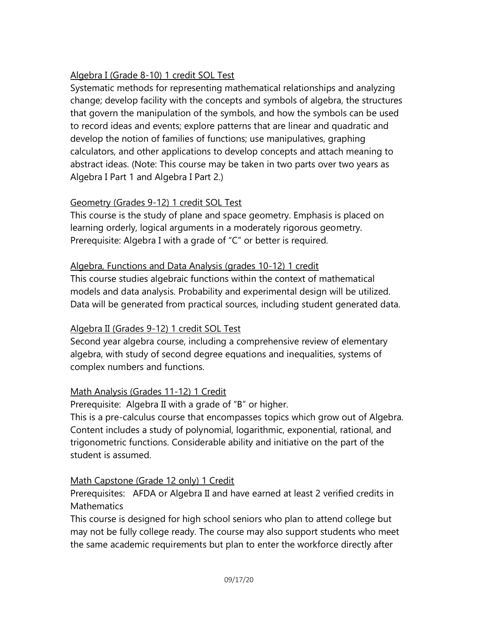# Algebra I (Grade 8-10) 1 credit SOL Test

Systematic methods for representing mathematical relationships and analyzing change; develop facility with the concepts and symbols of algebra, the structures that govern the manipulation of the symbols, and how the symbols can be used to record ideas and events; explore patterns that are linear and quadratic and develop the notion of families of functions; use manipulatives, graphing calculators, and other applications to develop concepts and attach meaning to abstract ideas. (Note: This course may be taken in two parts over two years as Algebra I Part 1 and Algebra I Part 2.)

# Geometry (Grades 9-12) 1 credit SOL Test

This course is the study of plane and space geometry. Emphasis is placed on learning orderly, logical arguments in a moderately rigorous geometry. Prerequisite: Algebra I with a grade of "C" or better is required.

## Algebra, Functions and Data Analysis (grades 10-12) 1 credit

This course studies algebraic functions within the context of mathematical models and data analysis. Probability and experimental design will be utilized. Data will be generated from practical sources, including student generated data.

#### Algebra II (Grades 9-12) 1 credit SOL Test

Second year algebra course, including a comprehensive review of elementary algebra, with study of second degree equations and inequalities, systems of complex numbers and functions.

# Math Analysis (Grades 11-12) 1 Credit

Prerequisite: Algebra II with a grade of "B" or higher.

This is a pre-calculus course that encompasses topics which grow out of Algebra. Content includes a study of polynomial, logarithmic, exponential, rational, and trigonometric functions. Considerable ability and initiative on the part of the student is assumed.

# Math Capstone (Grade 12 only) 1 Credit

Prerequisites: AFDA or Algebra II and have earned at least 2 verified credits in Mathematics

This course is designed for high school seniors who plan to attend college but may not be fully college ready. The course may also support students who meet the same academic requirements but plan to enter the workforce directly after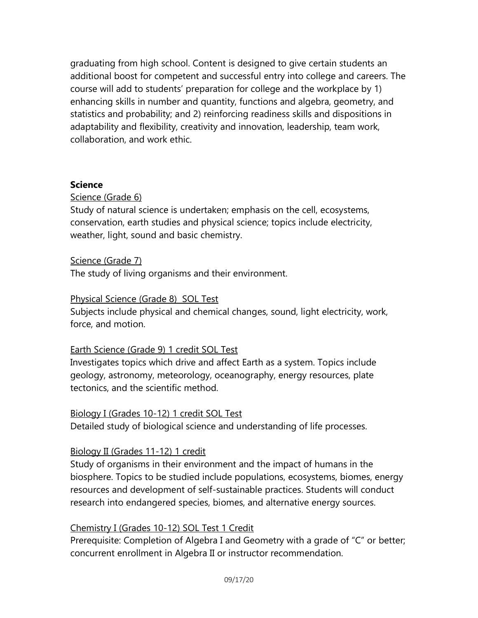graduating from high school. Content is designed to give certain students an additional boost for competent and successful entry into college and careers. The course will add to students' preparation for college and the workplace by 1) enhancing skills in number and quantity, functions and algebra, geometry, and statistics and probability; and 2) reinforcing readiness skills and dispositions in adaptability and flexibility, creativity and innovation, leadership, team work, collaboration, and work ethic.

#### **Science**

## Science (Grade 6)

Study of natural science is undertaken; emphasis on the cell, ecosystems, conservation, earth studies and physical science; topics include electricity, weather, light, sound and basic chemistry.

#### Science (Grade 7)

The study of living organisms and their environment.

#### Physical Science (Grade 8) SOL Test

Subjects include physical and chemical changes, sound, light electricity, work, force, and motion.

#### Earth Science (Grade 9) 1 credit SOL Test

Investigates topics which drive and affect Earth as a system. Topics include geology, astronomy, meteorology, oceanography, energy resources, plate tectonics, and the scientific method.

#### Biology I (Grades 10-12) 1 credit SOL Test

Detailed study of biological science and understanding of life processes.

#### Biology II (Grades 11-12) 1 credit

Study of organisms in their environment and the impact of humans in the biosphere. Topics to be studied include populations, ecosystems, biomes, energy resources and development of self-sustainable practices. Students will conduct research into endangered species, biomes, and alternative energy sources.

#### Chemistry I (Grades 10-12) SOL Test 1 Credit

Prerequisite: Completion of Algebra I and Geometry with a grade of "C" or better; concurrent enrollment in Algebra II or instructor recommendation.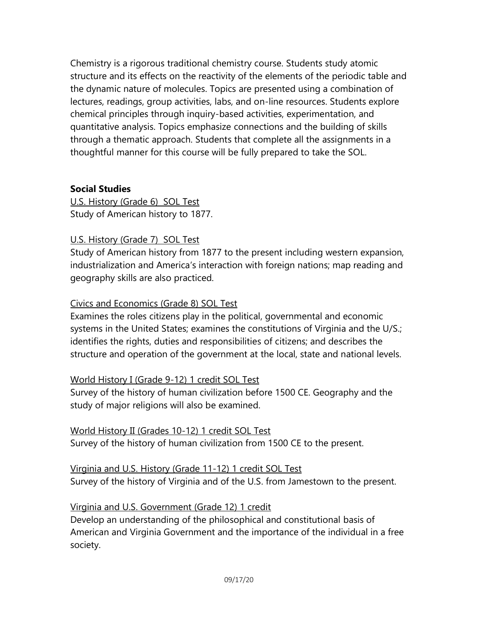Chemistry is a rigorous traditional chemistry course. Students study atomic structure and its effects on the reactivity of the elements of the periodic table and the dynamic nature of molecules. Topics are presented using a combination of lectures, readings, group activities, labs, and on-line resources. Students explore chemical principles through inquiry-based activities, experimentation, and quantitative analysis. Topics emphasize connections and the building of skills through a thematic approach. Students that complete all the assignments in a thoughtful manner for this course will be fully prepared to take the SOL.

# **Social Studies**

U.S. History (Grade 6) SOL Test Study of American history to 1877.

## U.S. History (Grade 7) SOL Test

Study of American history from 1877 to the present including western expansion, industrialization and America's interaction with foreign nations; map reading and geography skills are also practiced.

#### Civics and Economics (Grade 8) SOL Test

Examines the roles citizens play in the political, governmental and economic systems in the United States; examines the constitutions of Virginia and the U/S.; identifies the rights, duties and responsibilities of citizens; and describes the structure and operation of the government at the local, state and national levels.

# World History I (Grade 9-12) 1 credit SOL Test

Survey of the history of human civilization before 1500 CE. Geography and the study of major religions will also be examined.

World History II (Grades 10-12) 1 credit SOL Test Survey of the history of human civilization from 1500 CE to the present.

# Virginia and U.S. History (Grade 11-12) 1 credit SOL Test

Survey of the history of Virginia and of the U.S. from Jamestown to the present.

#### Virginia and U.S. Government (Grade 12) 1 credit

Develop an understanding of the philosophical and constitutional basis of American and Virginia Government and the importance of the individual in a free society.